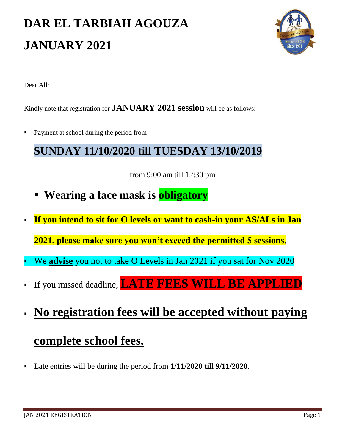# **DAR EL TARBIAH AGOUZA JANUARY 2021**



Dear All:

Kindly note that registration for **JANUARY 2021 session** will be as follows:

Payment at school during the period from

#### **SUNDAY 11/10/2020 till TUESDAY 13/10/2019**

from 9:00 am till 12:30 pm

- **Wearing a face mask is obligatory**
- **If you intend to sit for O levels or want to cash-in your AS/ALs in Jan**

**2021, please make sure you won't exceed the permitted 5 sessions.**

- We **advise** you not to take O Levels in Jan 2021 if you sat for Nov 2020
- If you missed deadline, **LATE FEES WILL BE APPLIED**
- **No registration fees will be accepted without paying**

#### **complete school fees.**

Late entries will be during the period from **1/11/2020 till 9/11/2020**.